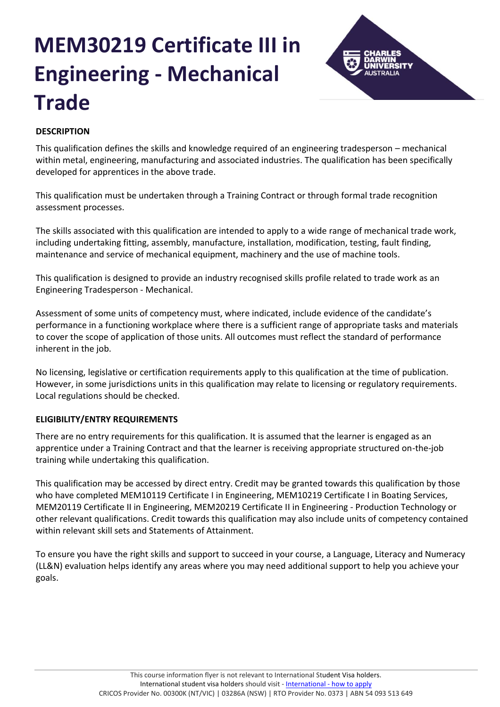# **MEM30219 Certificate III in Engineering - Mechanical Trade**



## **DESCRIPTION**

This qualification defines the skills and knowledge required of an engineering tradesperson – mechanical within metal, engineering, manufacturing and associated industries. The qualification has been specifically developed for apprentices in the above trade.

This qualification must be undertaken through a Training Contract or through formal trade recognition assessment processes.

The skills associated with this qualification are intended to apply to a wide range of mechanical trade work, including undertaking fitting, assembly, manufacture, installation, modification, testing, fault finding, maintenance and service of mechanical equipment, machinery and the use of machine tools.

This qualification is designed to provide an industry recognised skills profile related to trade work as an Engineering Tradesperson - Mechanical.

Assessment of some units of competency must, where indicated, include evidence of the candidate's performance in a functioning workplace where there is a sufficient range of appropriate tasks and materials to cover the scope of application of those units. All outcomes must reflect the standard of performance inherent in the job.

No licensing, legislative or certification requirements apply to this qualification at the time of publication. However, in some jurisdictions units in this qualification may relate to licensing or regulatory requirements. Local regulations should be checked.

## **ELIGIBILITY/ENTRY REQUIREMENTS**

There are no entry requirements for this qualification. It is assumed that the learner is engaged as an apprentice under a Training Contract and that the learner is receiving appropriate structured on-the-job training while undertaking this qualification.

This qualification may be accessed by direct entry. Credit may be granted towards this qualification by those who have completed MEM10119 Certificate I in Engineering, MEM10219 Certificate I in Boating Services, MEM20119 Certificate II in Engineering, MEM20219 Certificate II in Engineering - Production Technology or other relevant qualifications. Credit towards this qualification may also include units of competency contained within relevant skill sets and Statements of Attainment.

To ensure you have the right skills and support to succeed in your course, a Language, Literacy and Numeracy (LL&N) evaluation helps identify any areas where you may need additional support to help you achieve your goals.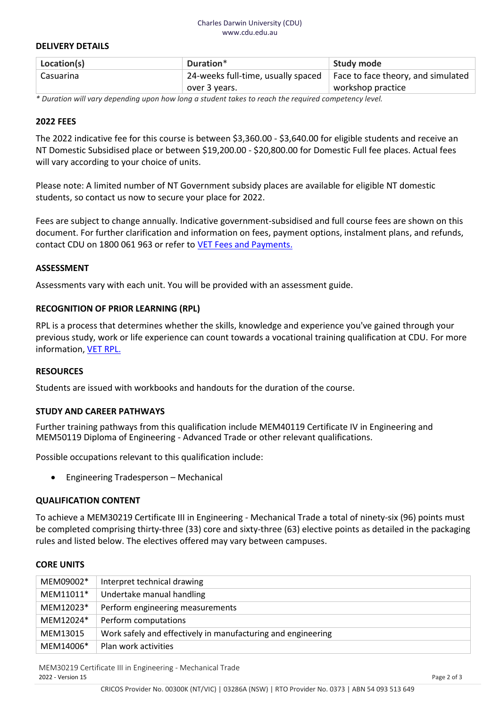#### Charles Darwin University (CDU) www.cdu.edu.au

#### **DELIVERY DETAILS**

| Location(s) | Duration*                          | Study mode                         |
|-------------|------------------------------------|------------------------------------|
| Casuarina   | 24-weeks full-time, usually spaced | Face to face theory, and simulated |
|             | over 3 years.                      | workshop practice                  |

*\* Duration will vary depending upon how long a student takes to reach the required competency level.*

#### **2022 FEES**

The 2022 indicative fee for this course is between \$3,360.00 - \$3,640.00 for eligible students and receive an NT Domestic Subsidised place or between \$19,200.00 - \$20,800.00 for Domestic Full fee places. Actual fees will vary according to your choice of units.

Please note: A limited number of NT Government subsidy places are available for eligible NT domestic students, so contact us now to secure your place for 2022.

Fees are subject to change annually. Indicative government-subsidised and full course fees are shown on this document. For further clarification and information on fees, payment options, instalment plans, and refunds, contact CDU on 1800 061 963 or refer to [VET Fees and Payments.](https://www.cdu.edu.au/current-students/student-admin/fees-payments)

#### **ASSESSMENT**

Assessments vary with each unit. You will be provided with an assessment guide.

#### **RECOGNITION OF PRIOR LEARNING (RPL)**

RPL is a process that determines whether the skills, knowledge and experience you've gained through your previous study, work or life experience can count towards a vocational training qualification at CDU. For more information, [VET RPL.](https://www.cdu.edu.au/study/vocational-education-training/rpl)

#### **RESOURCES**

Students are issued with workbooks and handouts for the duration of the course.

#### **STUDY AND CAREER PATHWAYS**

Further training pathways from this qualification include MEM40119 Certificate IV in Engineering and MEM50119 Diploma of Engineering - Advanced Trade or other relevant qualifications.

Possible occupations relevant to this qualification include:

• Engineering Tradesperson – Mechanical

#### **QUALIFICATION CONTENT**

To achieve a MEM30219 Certificate III in Engineering - Mechanical Trade a total of ninety-six (96) points must be completed comprising thirty-three (33) core and sixty-three (63) elective points as detailed in the packaging rules and listed below. The electives offered may vary between campuses.

#### **CORE UNITS**

| MEM09002* | Interpret technical drawing                                  |
|-----------|--------------------------------------------------------------|
| MEM11011* | Undertake manual handling                                    |
| MEM12023* | Perform engineering measurements                             |
| MEM12024* | Perform computations                                         |
| MEM13015  | Work safely and effectively in manufacturing and engineering |
| MEM14006* | Plan work activities                                         |

MEM30219 Certificate III in Engineering - Mechanical Trade 2022 - Version 15 Page 2 of 3